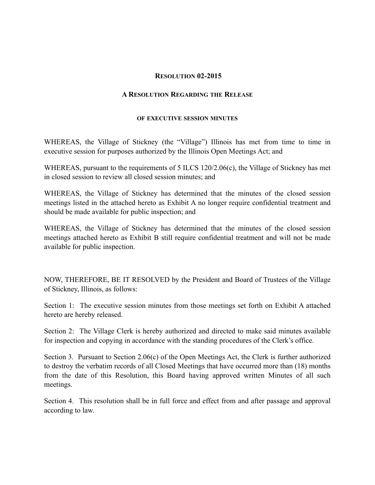## **RESOLUTION 02-2015**

## **A RESOLUTION REGARDING THE RELEASE**

## **OF EXECUTIVE SESSION MINUTES**

WHEREAS, the Village of Stickney (the "Village") Illinois has met from time to time in executive session for purposes authorized by the Illinois Open Meetings Act; and

WHEREAS, pursuant to the requirements of 5 ILCS 120/2.06(c), the Village of Stickney has met in closed session to review all closed session minutes; and

WHEREAS, the Village of Stickney has determined that the minutes of the closed session meetings listed in the attached hereto as Exhibit A no longer require confidential treatment and should be made available for public inspection; and

WHEREAS, the Village of Stickney has determined that the minutes of the closed session meetings attached hereto as Exhibit B still require confidential treatment and will not be made available for public inspection.

NOW, THEREFORE, BE IT RESOLVED by the President and Board of Trustees of the Village of Stickney, Illinois, as follows:

Section 1: The executive session minutes from those meetings set forth on Exhibit A attached hereto are hereby released.

Section 2: The Village Clerk is hereby authorized and directed to make said minutes available for inspection and copying in accordance with the standing procedures of the Clerk's office.

Section 3. Pursuant to Section 2.06(c) of the Open Meetings Act, the Clerk is further authorized to destroy the verbatim records of all Closed Meetings that have occurred more than (18) months from the date of this Resolution, this Board having approved written Minutes of all such meetings.

Section 4. This resolution shall be in full force and effect from and after passage and approval according to law.